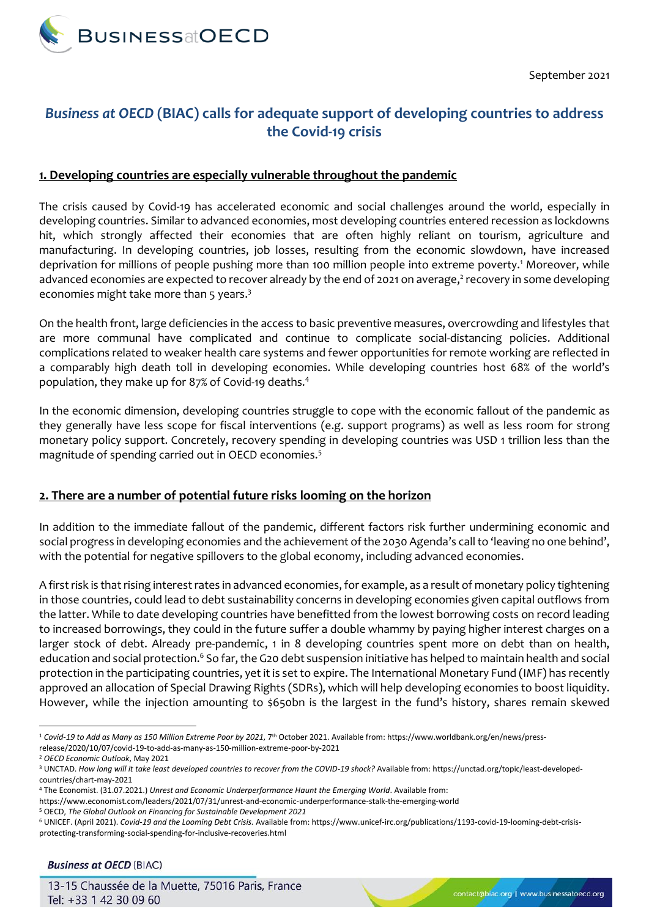

September 2021

## *Business at OECD* **(BIAC) calls for adequate support of developing countries to address the Covid-19 crisis**

## **1. Developing countries are especially vulnerable throughout the pandemic**

The crisis caused by Covid-19 has accelerated economic and social challenges around the world, especially in developing countries. Similar to advanced economies, most developing countries entered recession as lockdowns hit, which strongly affected their economies that are often highly reliant on tourism, agriculture and manufacturing. In developing countries, job losses, resulting from the economic slowdown, have increased deprivation for millions of people pushing more than 100 million people into extreme poverty.<sup>1</sup> Moreover, while advanced economies are expected to recover already by the end of 2021 on average, 2 recovery in some developing economies might take more than 5 years.<sup>3</sup>

On the health front, large deficiencies in the access to basic preventive measures, overcrowding and lifestyles that are more communal have complicated and continue to complicate social-distancing policies. Additional complications related to weaker health care systems and fewer opportunities for remote working are reflected in a comparably high death toll in developing economies. While developing countries host 68% of the world's population, they make up for 87% of Covid-19 deaths. 4

In the economic dimension, developing countries struggle to cope with the economic fallout of the pandemic as they generally have less scope for fiscal interventions (e.g. support programs) as well as less room for strong monetary policy support. Concretely, recovery spending in developing countries was USD 1 trillion less than the magnitude of spending carried out in OECD economies.<sup>5</sup>

## **2. There are a number of potential future risks looming on the horizon**

In addition to the immediate fallout of the pandemic, different factors risk further undermining economic and social progress in developing economies and the achievement of the 2030 Agenda's call to 'leaving no one behind', with the potential for negative spillovers to the global economy, including advanced economies.

A first risk is that rising interest rates in advanced economies, for example, as a result of monetary policy tightening in those countries, could lead to debt sustainability concerns in developing economies given capital outflows from the latter. While to date developing countries have benefitted from the lowest borrowing costs on record leading to increased borrowings, they could in the future suffer a double whammy by paying higher interest charges on a larger stock of debt. Already pre-pandemic, 1 in 8 developing countries spent more on debt than on health, education and social protection.<sup>6</sup> So far, the G20 debt suspension initiative has helped to maintain health and social protection in the participating countries, yet it is set to expire. The International Monetary Fund (IMF) has recently approved an allocation of Special Drawing Rights (SDRs), which will help developing economies to boost liquidity. However, while the injection amounting to \$650bn is the largest in the fund's history, shares remain skewed

<sup>1</sup> <sup>1</sup> *Covid-19 to Add as Many as 150 Million Extreme Poor by 2021*, 7th October 2021. Available from: https://www.worldbank.org/en/news/pressrelease/2020/10/07/covid-19-to-add-as-many-as-150-million-extreme-poor-by-2021

<sup>2</sup> *OECD Economic Outlook*, May 2021

<sup>3</sup> UNCTAD. *How long will it take least developed countries to recover from the COVID-19 shock?* Available from: https://unctad.org/topic/least-developedcountries/chart-may-2021

<sup>4</sup> The Economist. (31.07.2021.) *Unrest and Economic Underperformance Haunt the Emerging World*. Available from:

https://www.economist.com/leaders/2021/07/31/unrest-and-economic-underperformance-stalk-the-emerging-world

<sup>5</sup> OECD, *The Global Outlook on Financing for Sustainable Development 2021*

<sup>6</sup> UNICEF. (April 2021). *Covid-19 and the Looming Debt Crisis.* Available from: https://www.unicef-irc.org/publications/1193-covid-19-looming-debt-crisisprotecting-transforming-social-spending-for-inclusive-recoveries.html